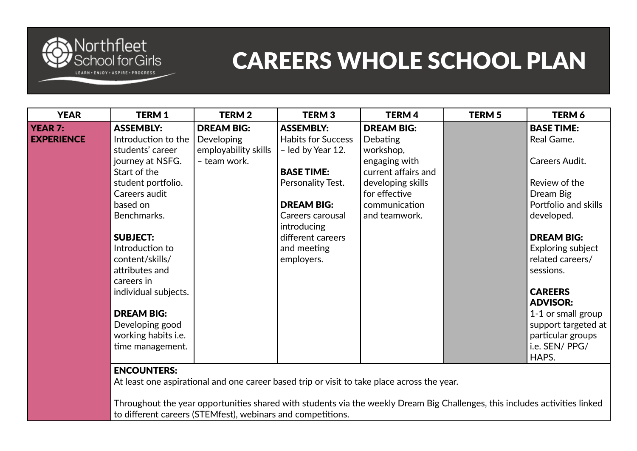

| <b>YEAR</b>       | <b>TERM1</b>         | <b>TERM2</b>         | <b>TERM3</b>              | <b>TERM4</b>        | <b>TERM 5</b> | <b>TERM 6</b>        |
|-------------------|----------------------|----------------------|---------------------------|---------------------|---------------|----------------------|
| <b>YEAR 7:</b>    | <b>ASSEMBLY:</b>     | <b>DREAM BIG:</b>    | <b>ASSEMBLY:</b>          | <b>DREAM BIG:</b>   |               | <b>BASE TIME:</b>    |
| <b>EXPERIENCE</b> | Introduction to the  | <b>Developing</b>    | <b>Habits for Success</b> | <b>Debating</b>     |               | Real Game.           |
|                   | students' career     | employability skills | - led by Year 12.         | workshop,           |               |                      |
|                   | journey at NSFG.     | - team work.         |                           | engaging with       |               | Careers Audit.       |
|                   | Start of the         |                      | <b>BASE TIME:</b>         | current affairs and |               |                      |
|                   | student portfolio.   |                      | Personality Test.         | developing skills   |               | Review of the        |
|                   | Careers audit        |                      |                           | for effective       |               | Dream Big            |
|                   | based on             |                      | <b>DREAM BIG:</b>         | communication       |               | Portfolio and skills |
|                   | Benchmarks.          |                      | Careers carousal          | and teamwork.       |               | developed.           |
|                   |                      |                      | introducing               |                     |               |                      |
|                   | <b>SUBJECT:</b>      |                      | different careers         |                     |               | <b>DREAM BIG:</b>    |
|                   | Introduction to      |                      | and meeting               |                     |               | Exploring subject    |
|                   | content/skills/      |                      | employers.                |                     |               | related careers/     |
|                   | attributes and       |                      |                           |                     |               | sessions.            |
|                   | careers in           |                      |                           |                     |               |                      |
|                   | individual subjects. |                      |                           |                     |               | <b>CAREERS</b>       |
|                   |                      |                      |                           |                     |               | <b>ADVISOR:</b>      |
|                   | <b>DREAM BIG:</b>    |                      |                           |                     |               | 1-1 or small group   |
|                   | Developing good      |                      |                           |                     |               | support targeted at  |
|                   | working habits i.e.  |                      |                           |                     |               | particular groups    |
|                   | time management.     |                      |                           |                     |               | i.e. SEN/ PPG/       |
|                   |                      |                      |                           |                     |               | HAPS.                |

#### ENCOUNTERS:

At least one aspirational and one career based trip or visit to take place across the year.

Throughout the year opportunities shared with students via the weekly Dream Big Challenges, this includes activities linked to different careers (STEMfest), webinars and competitions.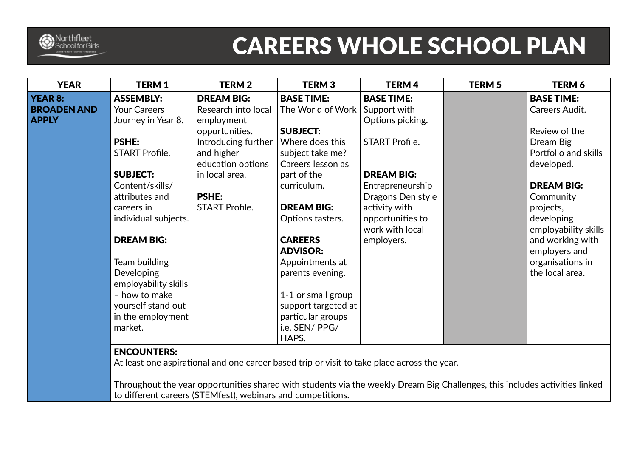

| <b>YEAR</b>        | <b>TERM1</b>          | <b>TERM2</b>          | <b>TERM3</b>        | <b>TERM4</b>          | <b>TERM 5</b> | <b>TERM 6</b>        |
|--------------------|-----------------------|-----------------------|---------------------|-----------------------|---------------|----------------------|
| <b>YEAR 8:</b>     | <b>ASSEMBLY:</b>      | <b>DREAM BIG:</b>     | <b>BASE TIME:</b>   | <b>BASE TIME:</b>     |               | <b>BASE TIME:</b>    |
| <b>BROADEN AND</b> | <b>Your Careers</b>   | Research into local   | The World of Work   | Support with          |               | Careers Audit.       |
| <b>APPLY</b>       | Journey in Year 8.    | employment            |                     | Options picking.      |               |                      |
|                    |                       | opportunities.        | <b>SUBJECT:</b>     |                       |               | Review of the        |
|                    | <b>PSHE:</b>          | Introducing further   | Where does this     | <b>START Profile.</b> |               | Dream Big            |
|                    | <b>START Profile.</b> | and higher            | subject take me?    |                       |               | Portfolio and skills |
|                    |                       | education options     | Careers lesson as   |                       |               | developed.           |
|                    | <b>SUBJECT:</b>       | in local area.        | part of the         | <b>DREAM BIG:</b>     |               |                      |
|                    | Content/skills/       |                       | curriculum.         | Entrepreneurship      |               | <b>DREAM BIG:</b>    |
|                    | attributes and        | <b>PSHE:</b>          |                     | Dragons Den style     |               | Community            |
|                    | careers in            | <b>START Profile.</b> | <b>DREAM BIG:</b>   | activity with         |               | projects,            |
|                    | individual subjects.  |                       | Options tasters.    | opportunities to      |               | developing           |
|                    |                       |                       |                     | work with local       |               | employability skills |
|                    | <b>DREAM BIG:</b>     |                       | <b>CAREERS</b>      | employers.            |               | and working with     |
|                    |                       |                       | <b>ADVISOR:</b>     |                       |               | employers and        |
|                    | Team building         |                       | Appointments at     |                       |               | organisations in     |
|                    | Developing            |                       | parents evening.    |                       |               | the local area.      |
|                    | employability skills  |                       |                     |                       |               |                      |
|                    | - how to make         |                       | 1-1 or small group  |                       |               |                      |
|                    | yourself stand out    |                       | support targeted at |                       |               |                      |
|                    | in the employment     |                       | particular groups   |                       |               |                      |
|                    | market.               |                       | i.e. SEN/ PPG/      |                       |               |                      |
|                    |                       |                       | HAPS.               |                       |               |                      |
|                    | <b>ENCOUNTERS:</b>    |                       |                     |                       |               |                      |

#### At least one aspirational and one career based trip or visit to take place across the year.

Throughout the year opportunities shared with students via the weekly Dream Big Challenges, this includes activities linked to different careers (STEMfest), webinars and competitions.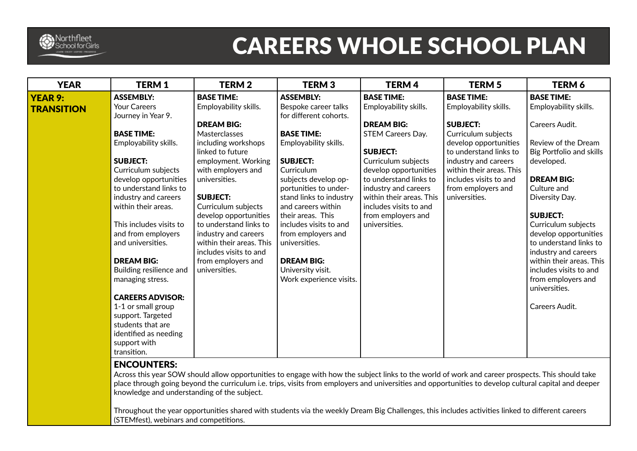

| <b>YEAR</b>                         | <b>TERM1</b>                                                                                                                                                                                                                                                                                                                                                                                                                                                                                              | <b>TERM2</b>                                                                                                                                                                                                                                                                                                                                                  | <b>TERM3</b>                                                                                                                                                                                                                                                                                                                                                       | <b>TERM4</b>                                                                                                                                                                                                                                             | <b>TERM 5</b>                                                                                                                                                                                                  | <b>TERM 6</b>                                                                                                                                                                                                                                                                                                                                                             |
|-------------------------------------|-----------------------------------------------------------------------------------------------------------------------------------------------------------------------------------------------------------------------------------------------------------------------------------------------------------------------------------------------------------------------------------------------------------------------------------------------------------------------------------------------------------|---------------------------------------------------------------------------------------------------------------------------------------------------------------------------------------------------------------------------------------------------------------------------------------------------------------------------------------------------------------|--------------------------------------------------------------------------------------------------------------------------------------------------------------------------------------------------------------------------------------------------------------------------------------------------------------------------------------------------------------------|----------------------------------------------------------------------------------------------------------------------------------------------------------------------------------------------------------------------------------------------------------|----------------------------------------------------------------------------------------------------------------------------------------------------------------------------------------------------------------|---------------------------------------------------------------------------------------------------------------------------------------------------------------------------------------------------------------------------------------------------------------------------------------------------------------------------------------------------------------------------|
| <b>YEAR 9:</b><br><b>TRANSITION</b> | <b>ASSEMBLY:</b><br><b>Your Careers</b>                                                                                                                                                                                                                                                                                                                                                                                                                                                                   | <b>BASE TIME:</b><br>Employability skills.                                                                                                                                                                                                                                                                                                                    | <b>ASSEMBLY:</b><br>Bespoke career talks                                                                                                                                                                                                                                                                                                                           | <b>BASE TIME:</b><br>Employability skills.                                                                                                                                                                                                               | <b>BASE TIME:</b><br>Employability skills.                                                                                                                                                                     | <b>BASE TIME:</b><br>Employability skills.                                                                                                                                                                                                                                                                                                                                |
|                                     | Journey in Year 9.<br><b>BASE TIME:</b><br>Employability skills.<br><b>SUBJECT:</b><br>Curriculum subjects<br>develop opportunities<br>to understand links to<br>industry and careers<br>within their areas.<br>This includes visits to<br>and from employers<br>and universities.<br><b>DREAM BIG:</b><br>Building resilience and<br>managing stress.<br><b>CAREERS ADVISOR:</b><br>1-1 or small group<br>support. Targeted<br>students that are<br>identified as needing<br>support with<br>transition. | <b>DREAM BIG:</b><br>Masterclasses<br>including workshops<br>linked to future<br>employment. Working<br>with employers and<br>universities.<br><b>SUBJECT:</b><br>Curriculum subjects<br>develop opportunities<br>to understand links to<br>industry and careers<br>within their areas. This<br>includes visits to and<br>from employers and<br>universities. | for different cohorts.<br><b>BASE TIME:</b><br>Employability skills.<br><b>SUBJECT:</b><br>Curriculum<br>subjects develop op-<br>portunities to under-<br>stand links to industry<br>and careers within<br>their areas. This<br>includes visits to and<br>from employers and<br>universities.<br><b>DREAM BIG:</b><br>University visit.<br>Work experience visits. | <b>DREAM BIG:</b><br>STEM Careers Day.<br><b>SUBJECT:</b><br>Curriculum subjects<br>develop opportunities<br>to understand links to<br>industry and careers<br>within their areas. This<br>includes visits to and<br>from employers and<br>universities. | <b>SUBJECT:</b><br>Curriculum subjects<br>develop opportunities<br>to understand links to<br>industry and careers<br>within their areas. This<br>includes visits to and<br>from employers and<br>universities. | Careers Audit.<br>Review of the Dream<br>Big Portfolio and skills<br>developed.<br><b>DREAM BIG:</b><br>Culture and<br>Diversity Day.<br><b>SUBJECT:</b><br>Curriculum subjects<br>develop opportunities<br>to understand links to<br>industry and careers<br>within their areas. This<br>includes visits to and<br>from employers and<br>universities.<br>Careers Audit. |

#### ENCOUNTERS:

Across this year SOW should allow opportunities to engage with how the subject links to the world of work and career prospects. This should take place through going beyond the curriculum i.e. trips, visits from employers and universities and opportunities to develop cultural capital and deeper knowledge and understanding of the subject.

Throughout the year opportunities shared with students via the weekly Dream Big Challenges, this includes activities linked to different careers (STEMfest), webinars and competitions.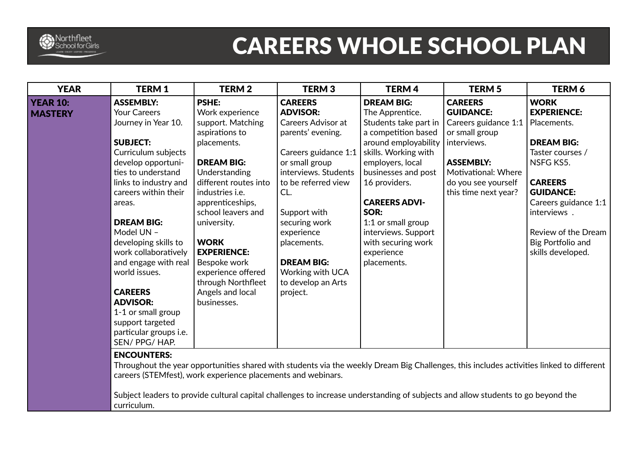

| <b>YEAR</b>     | <b>TERM1</b>           | <b>TERM 2</b>          | <b>TERM3</b>              | <b>TERM4</b>          | <b>TERM 5</b>        | <b>TERM 6</b>        |
|-----------------|------------------------|------------------------|---------------------------|-----------------------|----------------------|----------------------|
| <b>YEAR 10:</b> | <b>ASSEMBLY:</b>       | <b>PSHE:</b>           | <b>CAREERS</b>            | <b>DREAM BIG:</b>     | <b>CAREERS</b>       | <b>WORK</b>          |
| <b>MASTERY</b>  | Your Careers           | Work experience        | <b>ADVISOR:</b>           | The Apprentice.       | <b>GUIDANCE:</b>     | <b>EXPERIENCE:</b>   |
|                 | Journey in Year 10.    | support. Matching      | <b>Careers Advisor at</b> | Students take part in | Careers guidance 1:1 | Placements.          |
|                 |                        | aspirations to         | parents' evening.         | a competition based   | or small group       |                      |
|                 | <b>SUBJECT:</b>        | placements.            |                           | around employability  | interviews.          | <b>DREAM BIG:</b>    |
|                 | Curriculum subjects    |                        | Careers guidance 1:1      | skills. Working with  |                      | Taster courses /     |
|                 | develop opportuni-     | <b>DREAM BIG:</b>      | or small group            | employers, local      | <b>ASSEMBLY:</b>     | NSFG KS5.            |
|                 | ties to understand     | Understanding          | interviews. Students      | businesses and post   | Motivational: Where  |                      |
|                 | links to industry and  | different routes into  | to be referred view       | 16 providers.         | do you see yourself  | <b>CAREERS</b>       |
|                 | careers within their   | industries <i>i.e.</i> | CL.                       |                       | this time next year? | <b>GUIDANCE:</b>     |
|                 | areas.                 | apprenticeships,       |                           | <b>CAREERS ADVI-</b>  |                      | Careers guidance 1:1 |
|                 |                        | school leavers and     | Support with              | SOR:                  |                      | interviews.          |
|                 | <b>DREAM BIG:</b>      | university.            | securing work             | 1:1 or small group    |                      |                      |
|                 | Model UN -             |                        | experience                | interviews. Support   |                      | Review of the Dream  |
|                 | developing skills to   | <b>WORK</b>            | placements.               | with securing work    |                      | Big Portfolio and    |
|                 | work collaboratively   | <b>EXPERIENCE:</b>     |                           | experience            |                      | skills developed.    |
|                 | and engage with real   | Bespoke work           | <b>DREAM BIG:</b>         | placements.           |                      |                      |
|                 | world issues.          | experience offered     | Working with UCA          |                       |                      |                      |
|                 |                        | through Northfleet     | to develop an Arts        |                       |                      |                      |
|                 | <b>CAREERS</b>         | Angels and local       | project.                  |                       |                      |                      |
|                 | <b>ADVISOR:</b>        | businesses.            |                           |                       |                      |                      |
|                 | 1-1 or small group     |                        |                           |                       |                      |                      |
|                 | support targeted       |                        |                           |                       |                      |                      |
|                 | particular groups i.e. |                        |                           |                       |                      |                      |
|                 | SEN/PPG/HAP.           |                        |                           |                       |                      |                      |
|                 | <b>FURALIVEERS</b>     |                        |                           |                       |                      |                      |

#### ENCOUNTERS:

Throughout the year opportunities shared with students via the weekly Dream Big Challenges, this includes activities linked to different careers (STEMfest), work experience placements and webinars.

Subject leaders to provide cultural capital challenges to increase understanding of subjects and allow students to go beyond the curriculum.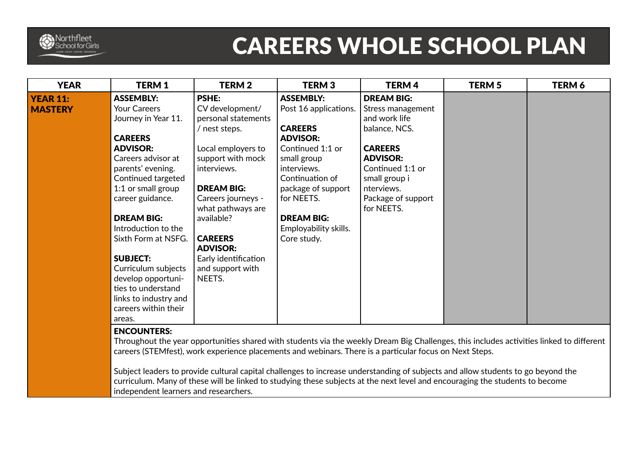

| <b>YEAR</b>     | <b>TERM1</b>          | <b>TERM 2</b>        | <b>TERM3</b>          | <b>TERM4</b>       | <b>TERM 5</b> | TERM 6 |
|-----------------|-----------------------|----------------------|-----------------------|--------------------|---------------|--------|
| <b>YEAR 11:</b> | <b>ASSEMBLY:</b>      | <b>PSHE:</b>         | <b>ASSEMBLY:</b>      | <b>DREAM BIG:</b>  |               |        |
| <b>MASTERY</b>  | <b>Your Careers</b>   | CV development/      | Post 16 applications. | Stress management  |               |        |
|                 | Journey in Year 11.   | personal statements  |                       | and work life      |               |        |
|                 |                       | / nest steps.        | <b>CAREERS</b>        | balance, NCS.      |               |        |
|                 | <b>CAREERS</b>        |                      | <b>ADVISOR:</b>       |                    |               |        |
|                 | <b>ADVISOR:</b>       | Local employers to   | Continued 1:1 or      | <b>CAREERS</b>     |               |        |
|                 | Careers advisor at    | support with mock    | small group           | <b>ADVISOR:</b>    |               |        |
|                 | parents' evening.     | interviews.          | interviews.           | Continued 1:1 or   |               |        |
|                 | Continued targeted    |                      | Continuation of       | small group i      |               |        |
|                 | 1:1 or small group    | <b>DREAM BIG:</b>    | package of support    | nterviews.         |               |        |
|                 | career guidance.      | Careers journeys -   | for NEETS.            | Package of support |               |        |
|                 |                       | what pathways are    |                       | for NEETS.         |               |        |
|                 | <b>DREAM BIG:</b>     | available?           | <b>DREAM BIG:</b>     |                    |               |        |
|                 | Introduction to the   |                      | Employability skills. |                    |               |        |
|                 | Sixth Form at NSFG.   | <b>CAREERS</b>       | Core study.           |                    |               |        |
|                 |                       | <b>ADVISOR:</b>      |                       |                    |               |        |
|                 | <b>SUBJECT:</b>       | Early identification |                       |                    |               |        |
|                 | Curriculum subjects   | and support with     |                       |                    |               |        |
|                 | develop opportuni-    | NEETS.               |                       |                    |               |        |
|                 | ties to understand    |                      |                       |                    |               |        |
|                 | links to industry and |                      |                       |                    |               |        |
|                 | careers within their  |                      |                       |                    |               |        |
|                 | areas.                |                      |                       |                    |               |        |

#### ENCOUNTERS:

Throughout the year opportunities shared with students via the weekly Dream Big Challenges, this includes activities linked to different careers (STEMfest), work experience placements and webinars. There is a particular focus on Next Steps.

Subject leaders to provide cultural capital challenges to increase understanding of subjects and allow students to go beyond the curriculum. Many of these will be linked to studying these subjects at the next level and encouraging the students to become independent learners and researchers.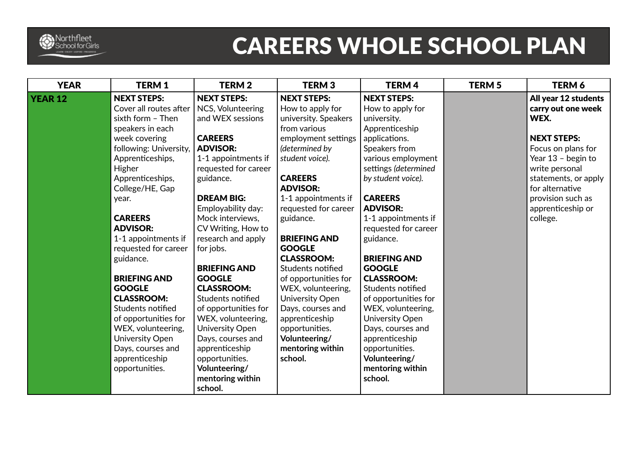

| <b>YEAR</b>    | <b>TERM1</b>           | <b>TERM2</b>         | <b>TERM3</b>         | <b>TERM4</b>         | <b>TERM 5</b> | TERM 6               |
|----------------|------------------------|----------------------|----------------------|----------------------|---------------|----------------------|
| <b>YEAR 12</b> | <b>NEXT STEPS:</b>     | <b>NEXT STEPS:</b>   | <b>NEXT STEPS:</b>   | <b>NEXT STEPS:</b>   |               | All year 12 students |
|                | Cover all routes after | NCS, Volunteering    | How to apply for     | How to apply for     |               | carry out one week   |
|                | sixth form - Then      | and WEX sessions     | university. Speakers | university.          |               | WEX.                 |
|                | speakers in each       |                      | from various         | Apprenticeship       |               |                      |
|                | week covering          | <b>CAREERS</b>       | employment settings  | applications.        |               | <b>NEXT STEPS:</b>   |
|                | following: University, | <b>ADVISOR:</b>      | (determined by       | Speakers from        |               | Focus on plans for   |
|                | Apprenticeships,       | 1-1 appointments if  | student voice).      | various employment   |               | Year 13 - begin to   |
|                | Higher                 | requested for career |                      | settings (determined |               | write personal       |
|                | Apprenticeships,       | guidance.            | <b>CAREERS</b>       | by student voice).   |               | statements, or apply |
|                | College/HE, Gap        |                      | <b>ADVISOR:</b>      |                      |               | for alternative      |
|                | year.                  | <b>DREAM BIG:</b>    | 1-1 appointments if  | <b>CAREERS</b>       |               | provision such as    |
|                |                        | Employability day:   | requested for career | <b>ADVISOR:</b>      |               | apprenticeship or    |
|                | <b>CAREERS</b>         | Mock interviews,     | guidance.            | 1-1 appointments if  |               | college.             |
|                | <b>ADVISOR:</b>        | CV Writing, How to   |                      | requested for career |               |                      |
|                | 1-1 appointments if    | research and apply   | <b>BRIEFING AND</b>  | guidance.            |               |                      |
|                | requested for career   | for jobs.            | <b>GOOGLE</b>        |                      |               |                      |
|                | guidance.              |                      | <b>CLASSROOM:</b>    | <b>BRIEFING AND</b>  |               |                      |
|                |                        | <b>BRIEFING AND</b>  | Students notified    | <b>GOOGLE</b>        |               |                      |
|                | <b>BRIEFING AND</b>    | <b>GOOGLE</b>        | of opportunities for | <b>CLASSROOM:</b>    |               |                      |
|                | <b>GOOGLE</b>          | <b>CLASSROOM:</b>    | WEX, volunteering,   | Students notified    |               |                      |
|                | <b>CLASSROOM:</b>      | Students notified    | University Open      | of opportunities for |               |                      |
|                | Students notified      | of opportunities for | Days, courses and    | WEX, volunteering,   |               |                      |
|                | of opportunities for   | WEX, volunteering,   | apprenticeship       | University Open      |               |                      |
|                | WEX, volunteering,     | University Open      | opportunities.       | Days, courses and    |               |                      |
|                | <b>University Open</b> | Days, courses and    | Volunteering/        | apprenticeship       |               |                      |
|                | Days, courses and      | apprenticeship       | mentoring within     | opportunities.       |               |                      |
|                | apprenticeship         | opportunities.       | school.              | Volunteering/        |               |                      |
|                | opportunities.         | Volunteering/        |                      | mentoring within     |               |                      |
|                |                        | mentoring within     |                      | school.              |               |                      |
|                |                        | school.              |                      |                      |               |                      |